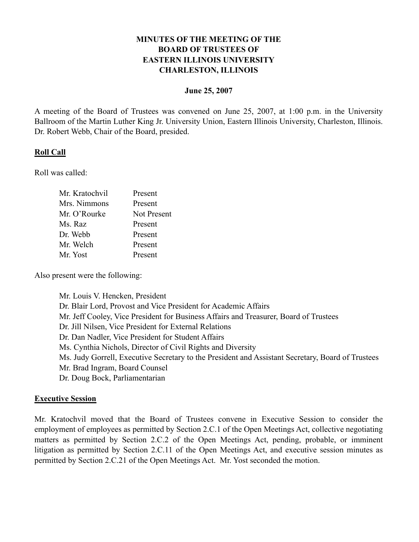# **MINUTES OF THE MEETING OF THE BOARD OF TRUSTEES OF EASTERN ILLINOIS UNIVERSITY CHARLESTON, ILLINOIS**

#### **June 25, 2007**

A meeting of the Board of Trustees was convened on June 25, 2007, at 1:00 p.m. in the University Ballroom of the Martin Luther King Jr. University Union, Eastern Illinois University, Charleston, Illinois. Dr. Robert Webb, Chair of the Board, presided.

#### **Roll Call**

Roll was called:

| Mr. Kratochvil | Present     |
|----------------|-------------|
| Mrs. Nimmons   | Present     |
| Mr. O'Rourke   | Not Present |
| Ms. Raz        | Present     |
| Dr. Webb       | Present     |
| Mr. Welch      | Present     |
| Mr. Yost       | Present     |

Also present were the following:

Mr. Louis V. Hencken, President Dr. Blair Lord, Provost and Vice President for Academic Affairs Mr. Jeff Cooley, Vice President for Business Affairs and Treasurer, Board of Trustees Dr. Jill Nilsen, Vice President for External Relations Dr. Dan Nadler, Vice President for Student Affairs Ms. Cynthia Nichols, Director of Civil Rights and Diversity Ms. Judy Gorrell, Executive Secretary to the President and Assistant Secretary, Board of Trustees Mr. Brad Ingram, Board Counsel Dr. Doug Bock, Parliamentarian

#### **Executive Session**

Mr. Kratochvil moved that the Board of Trustees convene in Executive Session to consider the employment of employees as permitted by Section 2.C.1 of the Open Meetings Act, collective negotiating matters as permitted by Section 2.C.2 of the Open Meetings Act, pending, probable, or imminent litigation as permitted by Section 2.C.11 of the Open Meetings Act, and executive session minutes as permitted by Section 2.C.21 of the Open Meetings Act. Mr. Yost seconded the motion.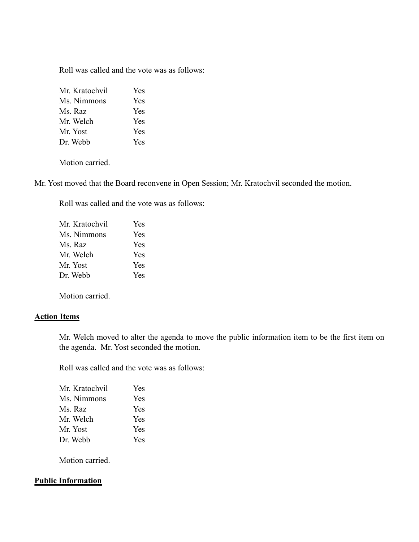Roll was called and the vote was as follows:

| Mr. Kratochvil | Yes |
|----------------|-----|
| Ms. Nimmons    | Yes |
| Ms. Raz        | Yes |
| Mr. Welch      | Yes |
| Mr. Yost       | Yes |
| Dr. Webb       | Yes |

Motion carried.

Mr. Yost moved that the Board reconvene in Open Session; Mr. Kratochvil seconded the motion.

Roll was called and the vote was as follows:

| Mr. Kratochvil | <b>Yes</b> |
|----------------|------------|
| Ms. Nimmons    | <b>Yes</b> |
| Ms. Raz        | <b>Yes</b> |
| Mr. Welch      | <b>Yes</b> |
| Mr. Yost       | Yes        |
| Dr. Webb       | Yes.       |

Motion carried.

## **Action Items**

Mr. Welch moved to alter the agenda to move the public information item to be the first item on the agenda. Mr. Yost seconded the motion.

Roll was called and the vote was as follows:

| Mr. Kratochvil | <b>Yes</b> |
|----------------|------------|
| Ms. Nimmons    | <b>Yes</b> |
| Ms. Raz        | <b>Yes</b> |
| Mr. Welch      | <b>Yes</b> |
| Mr. Yost       | <b>Yes</b> |
| Dr. Webb       | <b>Yes</b> |
|                |            |

Motion carried.

#### **Public Information**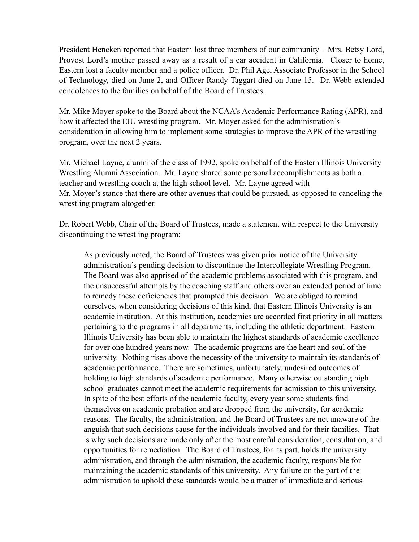President Hencken reported that Eastern lost three members of our community – Mrs. Betsy Lord, Provost Lord's mother passed away as a result of a car accident in California. Closer to home, Eastern lost a faculty member and a police officer. Dr. Phil Age, Associate Professor in the School of Technology, died on June 2, and Officer Randy Taggart died on June 15. Dr. Webb extended condolences to the families on behalf of the Board of Trustees.

Mr. Mike Moyer spoke to the Board about the NCAA's Academic Performance Rating (APR), and how it affected the EIU wrestling program. Mr. Moyer asked for the administration's consideration in allowing him to implement some strategies to improve the APR of the wrestling program, over the next 2 years.

Mr. Michael Layne, alumni of the class of 1992, spoke on behalf of the Eastern Illinois University Wrestling Alumni Association. Mr. Layne shared some personal accomplishments as both a teacher and wrestling coach at the high school level. Mr. Layne agreed with Mr. Moyer's stance that there are other avenues that could be pursued, as opposed to canceling the wrestling program altogether.

Dr. Robert Webb, Chair of the Board of Trustees, made a statement with respect to the University discontinuing the wrestling program:

As previously noted, the Board of Trustees was given prior notice of the University administration's pending decision to discontinue the Intercollegiate Wrestling Program. The Board was also apprised of the academic problems associated with this program, and the unsuccessful attempts by the coaching staff and others over an extended period of time to remedy these deficiencies that prompted this decision. We are obliged to remind ourselves, when considering decisions of this kind, that Eastern Illinois University is an academic institution. At this institution, academics are accorded first priority in all matters pertaining to the programs in all departments, including the athletic department. Eastern Illinois University has been able to maintain the highest standards of academic excellence for over one hundred years now. The academic programs are the heart and soul of the university. Nothing rises above the necessity of the university to maintain its standards of academic performance. There are sometimes, unfortunately, undesired outcomes of holding to high standards of academic performance. Many otherwise outstanding high school graduates cannot meet the academic requirements for admission to this university. In spite of the best efforts of the academic faculty, every year some students find themselves on academic probation and are dropped from the university, for academic reasons. The faculty, the administration, and the Board of Trustees are not unaware of the anguish that such decisions cause for the individuals involved and for their families. That is why such decisions are made only after the most careful consideration, consultation, and opportunities for remediation. The Board of Trustees, for its part, holds the university administration, and through the administration, the academic faculty, responsible for maintaining the academic standards of this university. Any failure on the part of the administration to uphold these standards would be a matter of immediate and serious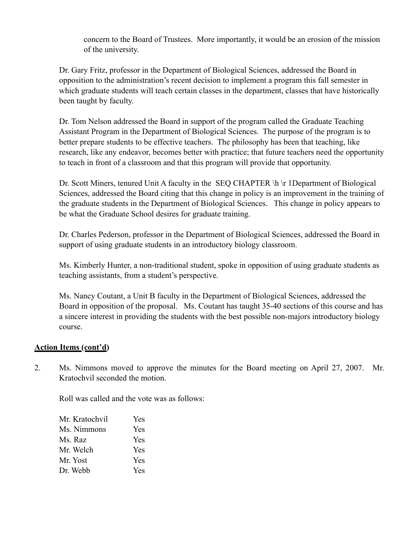concern to the Board of Trustees. More importantly, it would be an erosion of the mission of the university.

Dr. Gary Fritz, professor in the Department of Biological Sciences, addressed the Board in opposition to the administration's recent decision to implement a program this fall semester in which graduate students will teach certain classes in the department, classes that have historically been taught by faculty.

Dr. Tom Nelson addressed the Board in support of the program called the Graduate Teaching Assistant Program in the Department of Biological Sciences. The purpose of the program is to better prepare students to be effective teachers. The philosophy has been that teaching, like research, like any endeavor, becomes better with practice; that future teachers need the opportunity to teach in front of a classroom and that this program will provide that opportunity.

Dr. Scott Miners, tenured Unit A faculty in the SEQ CHAPTER \h \r 1Department of Biological Sciences, addressed the Board citing that this change in policy is an improvement in the training of the graduate students in the Department of Biological Sciences. This change in policy appears to be what the Graduate School desires for graduate training.

Dr. Charles Pederson, professor in the Department of Biological Sciences, addressed the Board in support of using graduate students in an introductory biology classroom.

Ms. Kimberly Hunter, a non-traditional student, spoke in opposition of using graduate students as teaching assistants, from a student's perspective.

Ms. Nancy Coutant, a Unit B faculty in the Department of Biological Sciences, addressed the Board in opposition of the proposal. Ms. Coutant has taught 35-40 sections of this course and has a sincere interest in providing the students with the best possible non-majors introductory biology course.

## **Action Items (cont'd)**

2. Ms. Nimmons moved to approve the minutes for the Board meeting on April 27, 2007. Mr. Kratochvil seconded the motion.

Roll was called and the vote was as follows:

| Mr. Kratochvil | <b>Yes</b> |
|----------------|------------|
| Ms. Nimmons    | <b>Yes</b> |
| Ms. Raz        | <b>Yes</b> |
| Mr. Welch      | <b>Yes</b> |
| Mr. Yost       | Yes        |
| Dr. Webb       | Yes        |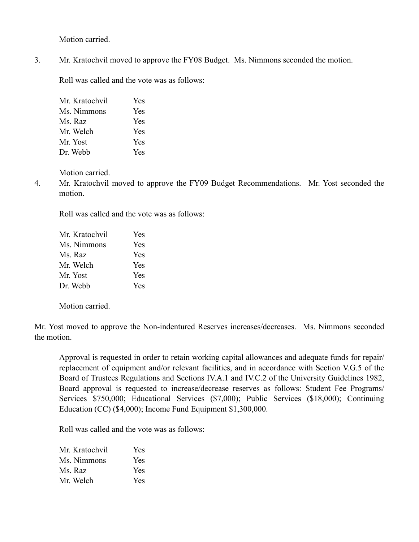3. Mr. Kratochvil moved to approve the FY08 Budget. Ms. Nimmons seconded the motion.

Roll was called and the vote was as follows:

| Mr. Kratochvil | Yes |
|----------------|-----|
| Ms. Nimmons    | Yes |
| Ms. Raz        | Yes |
| Mr. Welch      | Yes |
| Mr. Yost       | Yes |
| Dr. Webb       | Yes |

Motion carried.

4. Mr. Kratochvil moved to approve the FY09 Budget Recommendations. Mr. Yost seconded the motion.

Roll was called and the vote was as follows:

| Mr. Kratochvil | Yes        |
|----------------|------------|
| Ms. Nimmons    | <b>Yes</b> |
| Ms. Raz        | <b>Yes</b> |
| Mr. Welch      | <b>Yes</b> |
| Mr. Yost       | Yes        |
| Dr. Webb       | Yes        |

Motion carried.

Mr. Yost moved to approve the Non-indentured Reserves increases/decreases. Ms. Nimmons seconded the motion.

Approval is requested in order to retain working capital allowances and adequate funds for repair/ replacement of equipment and/or relevant facilities, and in accordance with Section V.G.5 of the Board of Trustees Regulations and Sections IV.A.1 and IV.C.2 of the University Guidelines 1982, Board approval is requested to increase/decrease reserves as follows: Student Fee Programs/ Services \$750,000; Educational Services (\$7,000); Public Services (\$18,000); Continuing Education (CC) (\$4,000); Income Fund Equipment \$1,300,000.

Roll was called and the vote was as follows:

| Mr. Kratochvil | Yes        |
|----------------|------------|
| Ms. Nimmons    | <b>Yes</b> |
| Ms. Raz        | Yes        |
| Mr. Welch      | <b>Yes</b> |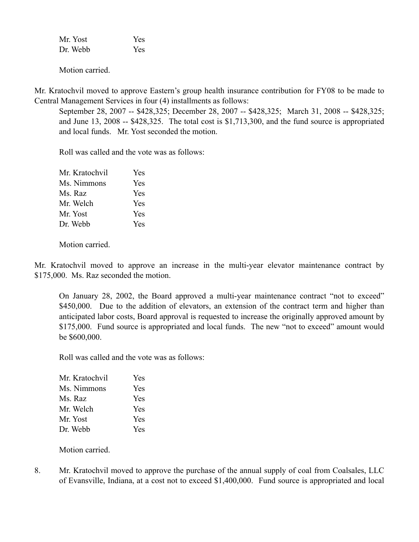| Mr. Yost | Yes |
|----------|-----|
| Dr. Webb | Yes |

Mr. Kratochvil moved to approve Eastern's group health insurance contribution for FY08 to be made to Central Management Services in four (4) installments as follows:

September 28, 2007 -- \$428,325; December 28, 2007 -- \$428,325; March 31, 2008 -- \$428,325; and June 13, 2008 -- \$428,325. The total cost is \$1,713,300, and the fund source is appropriated and local funds. Mr. Yost seconded the motion.

Roll was called and the vote was as follows:

| <b>Yes</b> |
|------------|
| Yes        |
| Yes        |
| <b>Yes</b> |
| Yes        |
| Yes        |
|            |

Motion carried.

Mr. Kratochvil moved to approve an increase in the multi-year elevator maintenance contract by \$175,000. Ms. Raz seconded the motion.

On January 28, 2002, the Board approved a multi-year maintenance contract "not to exceed" \$450,000. Due to the addition of elevators, an extension of the contract term and higher than anticipated labor costs, Board approval is requested to increase the originally approved amount by \$175,000. Fund source is appropriated and local funds. The new "not to exceed" amount would be \$600,000.

Roll was called and the vote was as follows:

| Mr. Kratochvil | Yes |
|----------------|-----|
| Ms. Nimmons    | Yes |
| Ms. Raz        | Yes |
| Mr. Welch      | Yes |
| Mr. Yost       | Yes |
| Dr. Webb       | Yes |

Motion carried.

8. Mr. Kratochvil moved to approve the purchase of the annual supply of coal from Coalsales, LLC of Evansville, Indiana, at a cost not to exceed \$1,400,000. Fund source is appropriated and local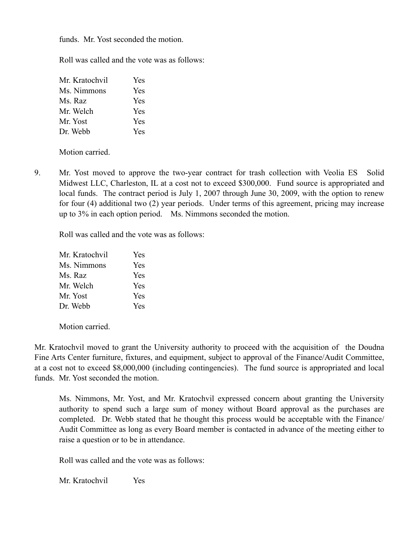funds. Mr. Yost seconded the motion.

Roll was called and the vote was as follows:

| Mr. Kratochvil | Yes |
|----------------|-----|
| Ms. Nimmons    | Yes |
| Ms. Raz        | Yes |
| Mr. Welch      | Yes |
| Mr. Yost       | Yes |
| Dr. Webb       | Yes |

Motion carried.

9. Mr. Yost moved to approve the two-year contract for trash collection with Veolia ES Solid Midwest LLC, Charleston, IL at a cost not to exceed \$300,000. Fund source is appropriated and local funds. The contract period is July 1, 2007 through June 30, 2009, with the option to renew for four (4) additional two (2) year periods. Under terms of this agreement, pricing may increase up to 3% in each option period. Ms. Nimmons seconded the motion.

Roll was called and the vote was as follows:

| Mr. Kratochvil | Yes        |
|----------------|------------|
| Ms. Nimmons    | Yes        |
| Ms. Raz        | <b>Yes</b> |
| Mr. Welch      | Yes        |
| Mr. Yost       | Yes        |
| Dr. Webb       | <b>Yes</b> |

Motion carried.

Mr. Kratochvil moved to grant the University authority to proceed with the acquisition of the Doudna Fine Arts Center furniture, fixtures, and equipment, subject to approval of the Finance/Audit Committee, at a cost not to exceed \$8,000,000 (including contingencies). The fund source is appropriated and local funds. Mr. Yost seconded the motion.

Ms. Nimmons, Mr. Yost, and Mr. Kratochvil expressed concern about granting the University authority to spend such a large sum of money without Board approval as the purchases are completed. Dr. Webb stated that he thought this process would be acceptable with the Finance/ Audit Committee as long as every Board member is contacted in advance of the meeting either to raise a question or to be in attendance.

Roll was called and the vote was as follows:

Mr. Kratochvil Yes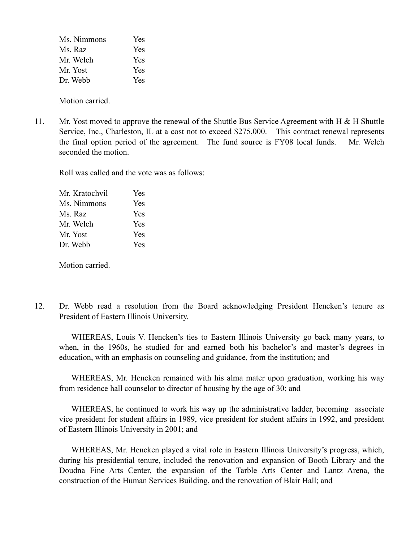| Ms. Nimmons | <b>Yes</b> |
|-------------|------------|
| Ms. Raz     | Yes        |
| Mr. Welch   | Yes        |
| Mr. Yost    | Yes        |
| Dr. Webb    | <b>Yes</b> |

11. Mr. Yost moved to approve the renewal of the Shuttle Bus Service Agreement with H & H Shuttle Service, Inc., Charleston, IL at a cost not to exceed \$275,000. This contract renewal represents the final option period of the agreement. The fund source is FY08 local funds. Mr. Welch seconded the motion.

Roll was called and the vote was as follows:

| Mr. Kratochvil | Yes |
|----------------|-----|
| Ms. Nimmons    | Yes |
| Ms. Raz        | Yes |
| Mr. Welch      | Yes |
| Mr. Yost       | Yes |
| Dr. Webb       | Yes |

Motion carried.

12. Dr. Webb read a resolution from the Board acknowledging President Hencken's tenure as President of Eastern Illinois University.

WHEREAS, Louis V. Hencken's ties to Eastern Illinois University go back many years, to when, in the 1960s, he studied for and earned both his bachelor's and master's degrees in education, with an emphasis on counseling and guidance, from the institution; and

WHEREAS, Mr. Hencken remained with his alma mater upon graduation, working his way from residence hall counselor to director of housing by the age of 30; and

WHEREAS, he continued to work his way up the administrative ladder, becoming associate vice president for student affairs in 1989, vice president for student affairs in 1992, and president of Eastern Illinois University in 2001; and

WHEREAS, Mr. Hencken played a vital role in Eastern Illinois University's progress, which, during his presidential tenure, included the renovation and expansion of Booth Library and the Doudna Fine Arts Center, the expansion of the Tarble Arts Center and Lantz Arena, the construction of the Human Services Building, and the renovation of Blair Hall; and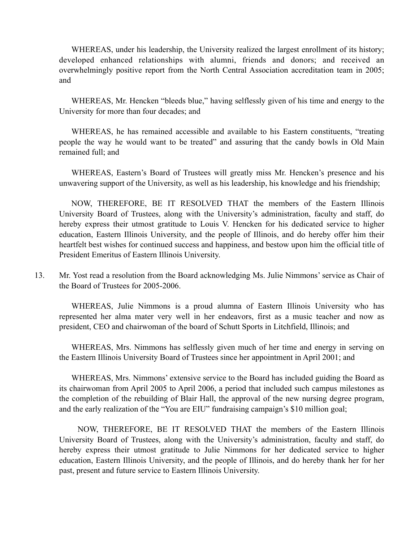WHEREAS, under his leadership, the University realized the largest enrollment of its history; developed enhanced relationships with alumni, friends and donors; and received an overwhelmingly positive report from the North Central Association accreditation team in 2005; and

WHEREAS, Mr. Hencken "bleeds blue," having selflessly given of his time and energy to the University for more than four decades; and

WHEREAS, he has remained accessible and available to his Eastern constituents, "treating people the way he would want to be treated" and assuring that the candy bowls in Old Main remained full; and

WHEREAS, Eastern's Board of Trustees will greatly miss Mr. Hencken's presence and his unwavering support of the University, as well as his leadership, his knowledge and his friendship;

NOW, THEREFORE, BE IT RESOLVED THAT the members of the Eastern Illinois University Board of Trustees, along with the University's administration, faculty and staff, do hereby express their utmost gratitude to Louis V. Hencken for his dedicated service to higher education, Eastern Illinois University, and the people of Illinois, and do hereby offer him their heartfelt best wishes for continued success and happiness, and bestow upon him the official title of President Emeritus of Eastern Illinois University.

13. Mr. Yost read a resolution from the Board acknowledging Ms. Julie Nimmons' service as Chair of the Board of Trustees for 2005-2006.

WHEREAS, Julie Nimmons is a proud alumna of Eastern Illinois University who has represented her alma mater very well in her endeavors, first as a music teacher and now as president, CEO and chairwoman of the board of Schutt Sports in Litchfield, Illinois; and

WHEREAS, Mrs. Nimmons has selflessly given much of her time and energy in serving on the Eastern Illinois University Board of Trustees since her appointment in April 2001; and

WHEREAS, Mrs. Nimmons' extensive service to the Board has included guiding the Board as its chairwoman from April 2005 to April 2006, a period that included such campus milestones as the completion of the rebuilding of Blair Hall, the approval of the new nursing degree program, and the early realization of the "You are EIU" fundraising campaign's \$10 million goal;

NOW, THEREFORE, BE IT RESOLVED THAT the members of the Eastern Illinois University Board of Trustees, along with the University's administration, faculty and staff, do hereby express their utmost gratitude to Julie Nimmons for her dedicated service to higher education, Eastern Illinois University, and the people of Illinois, and do hereby thank her for her past, present and future service to Eastern Illinois University.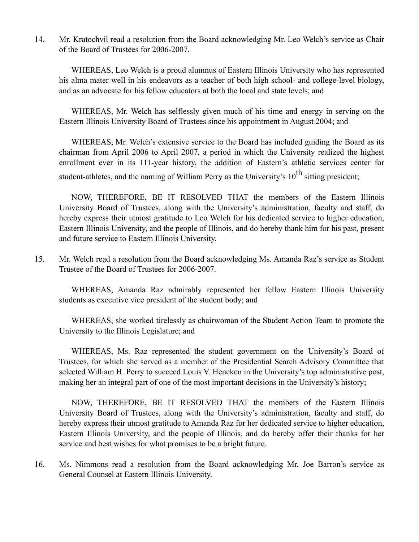14. Mr. Kratochvil read a resolution from the Board acknowledging Mr. Leo Welch's service as Chair of the Board of Trustees for 2006-2007.

WHEREAS, Leo Welch is a proud alumnus of Eastern Illinois University who has represented his alma mater well in his endeavors as a teacher of both high school- and college-level biology, and as an advocate for his fellow educators at both the local and state levels; and

WHEREAS, Mr. Welch has selflessly given much of his time and energy in serving on the Eastern Illinois University Board of Trustees since his appointment in August 2004; and

WHEREAS, Mr. Welch's extensive service to the Board has included guiding the Board as its chairman from April 2006 to April 2007, a period in which the University realized the highest enrollment ever in its 111-year history, the addition of Eastern's athletic services center for student-athletes, and the naming of William Perry as the University's  $10^{th}$  sitting president;

NOW, THEREFORE, BE IT RESOLVED THAT the members of the Eastern Illinois University Board of Trustees, along with the University's administration, faculty and staff, do hereby express their utmost gratitude to Leo Welch for his dedicated service to higher education, Eastern Illinois University, and the people of Illinois, and do hereby thank him for his past, present and future service to Eastern Illinois University.

15. Mr. Welch read a resolution from the Board acknowledging Ms. Amanda Raz's service as Student Trustee of the Board of Trustees for 2006-2007.

WHEREAS, Amanda Raz admirably represented her fellow Eastern Illinois University students as executive vice president of the student body; and

WHEREAS, she worked tirelessly as chairwoman of the Student Action Team to promote the University to the Illinois Legislature; and

WHEREAS, Ms. Raz represented the student government on the University's Board of Trustees, for which she served as a member of the Presidential Search Advisory Committee that selected William H. Perry to succeed Louis V. Hencken in the University's top administrative post, making her an integral part of one of the most important decisions in the University's history;

NOW, THEREFORE, BE IT RESOLVED THAT the members of the Eastern Illinois University Board of Trustees, along with the University's administration, faculty and staff, do hereby express their utmost gratitude to Amanda Raz for her dedicated service to higher education, Eastern Illinois University, and the people of Illinois, and do hereby offer their thanks for her service and best wishes for what promises to be a bright future.

16. Ms. Nimmons read a resolution from the Board acknowledging Mr. Joe Barron's service as General Counsel at Eastern Illinois University.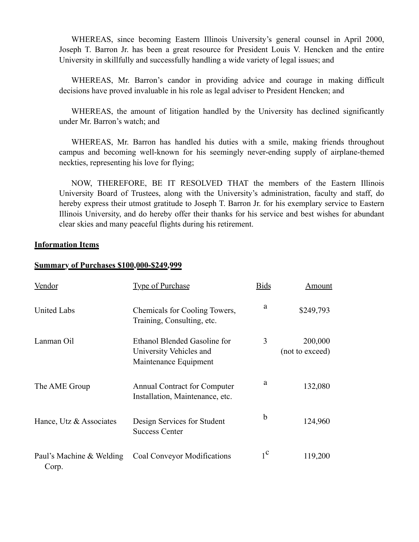WHEREAS, since becoming Eastern Illinois University's general counsel in April 2000, Joseph T. Barron Jr. has been a great resource for President Louis V. Hencken and the entire University in skillfully and successfully handling a wide variety of legal issues; and

WHEREAS, Mr. Barron's candor in providing advice and courage in making difficult decisions have proved invaluable in his role as legal adviser to President Hencken; and

WHEREAS, the amount of litigation handled by the University has declined significantly under Mr. Barron's watch; and

WHEREAS, Mr. Barron has handled his duties with a smile, making friends throughout campus and becoming well-known for his seemingly never-ending supply of airplane-themed neckties, representing his love for flying;

NOW, THEREFORE, BE IT RESOLVED THAT the members of the Eastern Illinois University Board of Trustees, along with the University's administration, faculty and staff, do hereby express their utmost gratitude to Joseph T. Barron Jr. for his exemplary service to Eastern Illinois University, and do hereby offer their thanks for his service and best wishes for abundant clear skies and many peaceful flights during his retirement.

#### **Information Items**

#### **Summary of Purchases \$100,000-\$249,999**

| Vendor                            | <b>Type of Purchase</b>                                                          | <b>Bids</b> | Amount                     |
|-----------------------------------|----------------------------------------------------------------------------------|-------------|----------------------------|
| <b>United Labs</b>                | Chemicals for Cooling Towers,<br>Training, Consulting, etc.                      | a           | \$249,793                  |
| Lanman Oil                        | Ethanol Blended Gasoline for<br>University Vehicles and<br>Maintenance Equipment | 3           | 200,000<br>(not to exceed) |
| The AME Group                     | Annual Contract for Computer<br>Installation, Maintenance, etc.                  | a           | 132,080                    |
| Hance, Utz $&$ Associates         | Design Services for Student<br><b>Success Center</b>                             | b           | 124,960                    |
| Paul's Machine & Welding<br>Corp. | <b>Coal Conveyor Modifications</b>                                               | $1^{\rm c}$ | 119,200                    |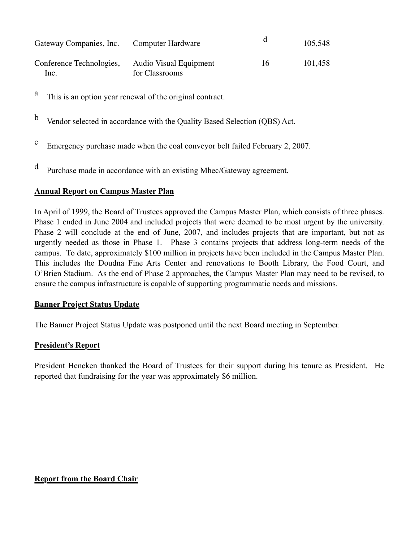| Gateway Companies, Inc. Computer Hardware |                                          |    | 105,548 |
|-------------------------------------------|------------------------------------------|----|---------|
| Conference Technologies,<br>Inc.          | Audio Visual Equipment<br>for Classrooms | 16 | 101,458 |

- <sup>a</sup> This is an option year renewal of the original contract.
- <sup>b</sup> Vendor selected in accordance with the Quality Based Selection (QBS) Act.
- <sup>c</sup> Emergency purchase made when the coal conveyor belt failed February 2, 2007.
- <sup>d</sup> Purchase made in accordance with an existing Mhec/Gateway agreement.

## **Annual Report on Campus Master Plan**

In April of 1999, the Board of Trustees approved the Campus Master Plan, which consists of three phases. Phase 1 ended in June 2004 and included projects that were deemed to be most urgent by the university. Phase 2 will conclude at the end of June, 2007, and includes projects that are important, but not as urgently needed as those in Phase 1. Phase 3 contains projects that address long-term needs of the campus. To date, approximately \$100 million in projects have been included in the Campus Master Plan. This includes the Doudna Fine Arts Center and renovations to Booth Library, the Food Court, and O'Brien Stadium. As the end of Phase 2 approaches, the Campus Master Plan may need to be revised, to ensure the campus infrastructure is capable of supporting programmatic needs and missions.

## **Banner Project Status Update**

The Banner Project Status Update was postponed until the next Board meeting in September.

#### **President's Report**

President Hencken thanked the Board of Trustees for their support during his tenure as President. He reported that fundraising for the year was approximately \$6 million.

## **Report from the Board Chair**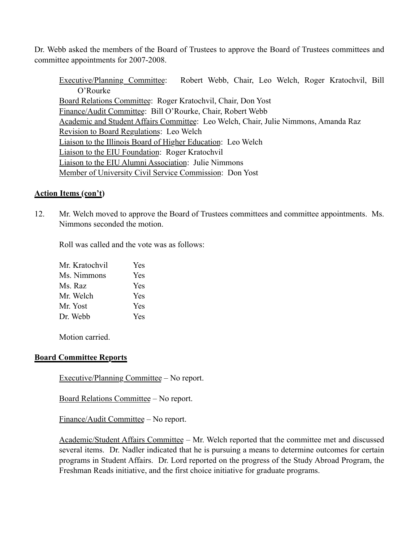Dr. Webb asked the members of the Board of Trustees to approve the Board of Trustees committees and committee appointments for 2007-2008.

Executive/Planning Committee: Robert Webb, Chair, Leo Welch, Roger Kratochvil, Bill O'Rourke Board Relations Committee: Roger Kratochvil, Chair, Don Yost Finance/Audit Committee: Bill O'Rourke, Chair, Robert Webb Academic and Student Affairs Committee: Leo Welch, Chair, Julie Nimmons, Amanda Raz Revision to Board Regulations: Leo Welch Liaison to the Illinois Board of Higher Education: Leo Welch Liaison to the EIU Foundation: Roger Kratochvil Liaison to the EIU Alumni Association: Julie Nimmons Member of University Civil Service Commission: Don Yost

#### **Action Items (con't)**

12. Mr. Welch moved to approve the Board of Trustees committees and committee appointments. Ms. Nimmons seconded the motion.

Roll was called and the vote was as follows:

| Mr. Kratochvil | <b>Yes</b> |
|----------------|------------|
| Ms. Nimmons    | <b>Yes</b> |
| Ms. Raz        | <b>Yes</b> |
| Mr. Welch      | <b>Yes</b> |
| Mr. Yost       | Yes        |
| Dr. Webb       | Yes        |

Motion carried.

## **Board Committee Reports**

Executive/Planning Committee – No report.

Board Relations Committee – No report.

Finance/Audit Committee – No report.

Academic/Student Affairs Committee – Mr. Welch reported that the committee met and discussed several items. Dr. Nadler indicated that he is pursuing a means to determine outcomes for certain programs in Student Affairs. Dr. Lord reported on the progress of the Study Abroad Program, the Freshman Reads initiative, and the first choice initiative for graduate programs.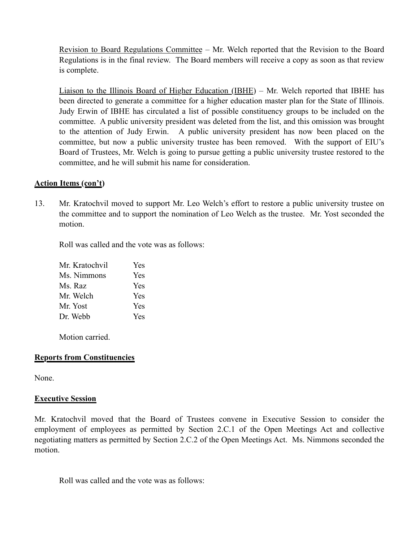Revision to Board Regulations Committee – Mr. Welch reported that the Revision to the Board Regulations is in the final review. The Board members will receive a copy as soon as that review is complete.

Liaison to the Illinois Board of Higher Education (IBHE) – Mr. Welch reported that IBHE has been directed to generate a committee for a higher education master plan for the State of Illinois. Judy Erwin of IBHE has circulated a list of possible constituency groups to be included on the committee. A public university president was deleted from the list, and this omission was brought to the attention of Judy Erwin. A public university president has now been placed on the committee, but now a public university trustee has been removed. With the support of EIU's Board of Trustees, Mr. Welch is going to pursue getting a public university trustee restored to the committee, and he will submit his name for consideration.

## **Action Items (con't)**

13. Mr. Kratochvil moved to support Mr. Leo Welch's effort to restore a public university trustee on the committee and to support the nomination of Leo Welch as the trustee. Mr. Yost seconded the motion.

Roll was called and the vote was as follows:

| Mr. Kratochvil | <b>Yes</b> |
|----------------|------------|
| Ms. Nimmons    | Yes        |
| Ms. Raz        | Yes        |
| Mr. Welch      | Yes        |
| Mr. Yost       | Yes        |
| Dr. Webb       | <b>Yes</b> |

Motion carried.

# **Reports from Constituencies**

None.

## **Executive Session**

Mr. Kratochvil moved that the Board of Trustees convene in Executive Session to consider the employment of employees as permitted by Section 2.C.1 of the Open Meetings Act and collective negotiating matters as permitted by Section 2.C.2 of the Open Meetings Act. Ms. Nimmons seconded the motion.

Roll was called and the vote was as follows: